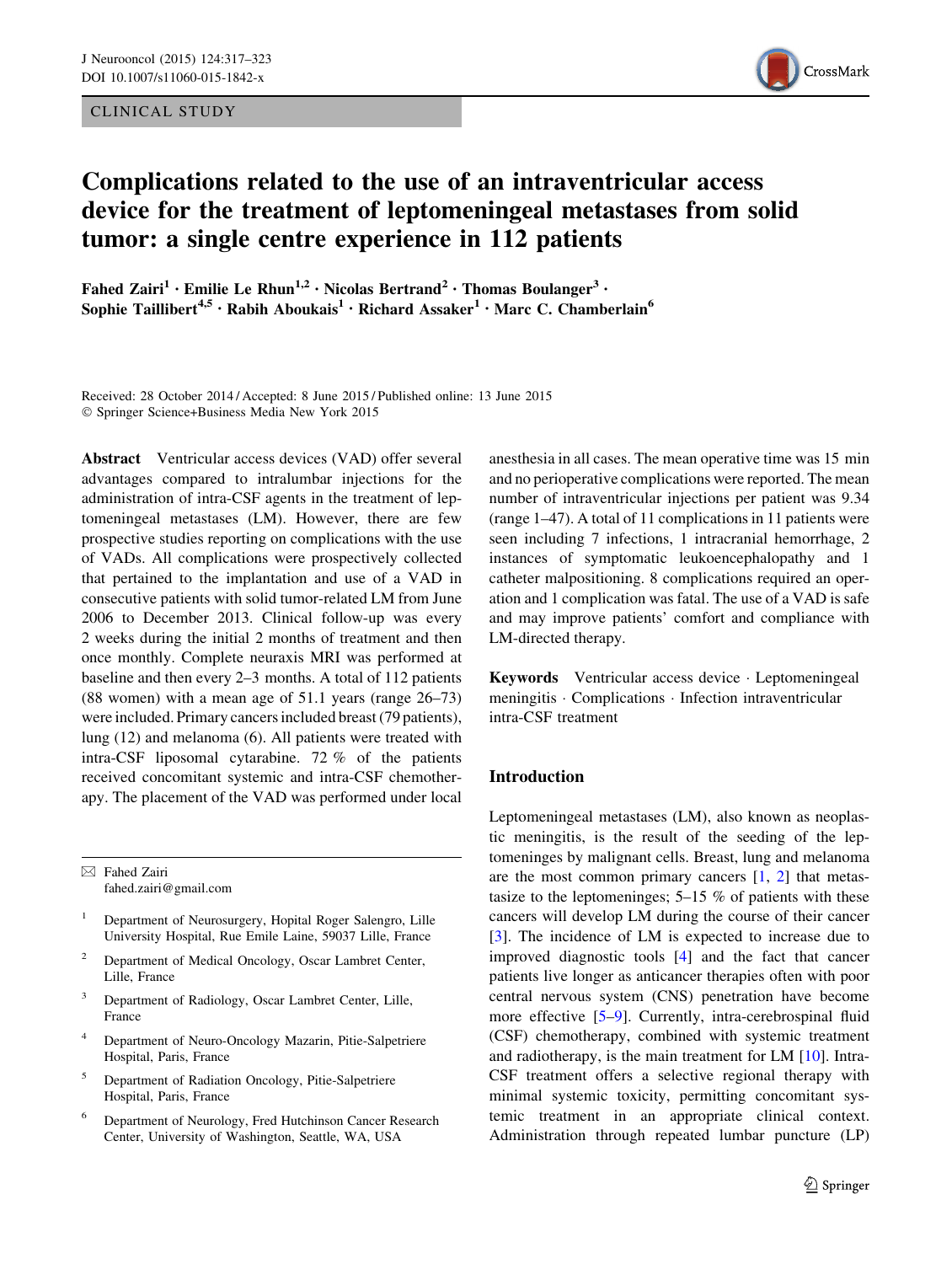CLINICAL STUDY



# Complications related to the use of an intraventricular access device for the treatment of leptomeningeal metastases from solid tumor: a single centre experience in 112 patients

Fahed Zairi<sup>1</sup> • Emilie Le Rhun<sup>1,2</sup> • Nicolas Bertrand<sup>2</sup> • Thomas Boulanger<sup>3</sup> • Sophie Taillibert<sup>4,5</sup> • Rabih Aboukais<sup>1</sup> • Richard Assaker<sup>1</sup> • Marc C. Chamberlain<sup>6</sup>

Received: 28 October 2014 / Accepted: 8 June 2015 / Published online: 13 June 2015 - Springer Science+Business Media New York 2015

Abstract Ventricular access devices (VAD) offer several advantages compared to intralumbar injections for the administration of intra-CSF agents in the treatment of leptomeningeal metastases (LM). However, there are few prospective studies reporting on complications with the use of VADs. All complications were prospectively collected that pertained to the implantation and use of a VAD in consecutive patients with solid tumor-related LM from June 2006 to December 2013. Clinical follow-up was every 2 weeks during the initial 2 months of treatment and then once monthly. Complete neuraxis MRI was performed at baseline and then every 2–3 months. A total of 112 patients (88 women) with a mean age of 51.1 years (range 26–73) were included. Primary cancers included breast (79 patients), lung (12) and melanoma (6). All patients were treated with intra-CSF liposomal cytarabine. 72 % of the patients received concomitant systemic and intra-CSF chemotherapy. The placement of the VAD was performed under local

 $\boxtimes$  Fahed Zairi fahed.zairi@gmail.com

- <sup>1</sup> Department of Neurosurgery, Hopital Roger Salengro, Lille University Hospital, Rue Emile Laine, 59037 Lille, France
- <sup>2</sup> Department of Medical Oncology, Oscar Lambret Center, Lille, France
- <sup>3</sup> Department of Radiology, Oscar Lambret Center, Lille, France
- <sup>4</sup> Department of Neuro-Oncology Mazarin, Pitie-Salpetriere Hospital, Paris, France
- <sup>5</sup> Department of Radiation Oncology, Pitie-Salpetriere Hospital, Paris, France
- <sup>6</sup> Department of Neurology, Fred Hutchinson Cancer Research Center, University of Washington, Seattle, WA, USA

anesthesia in all cases. The mean operative time was 15 min and no perioperative complications were reported. The mean number of intraventricular injections per patient was 9.34 (range 1–47). A total of 11 complications in 11 patients were seen including 7 infections, 1 intracranial hemorrhage, 2 instances of symptomatic leukoencephalopathy and 1 catheter malpositioning. 8 complications required an operation and 1 complication was fatal. The use of a VAD is safe and may improve patients' comfort and compliance with LM-directed therapy.

Keywords Ventricular access device - Leptomeningeal meningitis - Complications - Infection intraventricular intra-CSF treatment

# Introduction

Leptomeningeal metastases (LM), also known as neoplastic meningitis, is the result of the seeding of the leptomeninges by malignant cells. Breast, lung and melanoma are the most common primary cancers  $[1, 2]$  $[1, 2]$  $[1, 2]$  $[1, 2]$  $[1, 2]$  that metastasize to the leptomeninges; 5–15 % of patients with these cancers will develop LM during the course of their cancer [\[3](#page-5-0)]. The incidence of LM is expected to increase due to improved diagnostic tools [\[4](#page-5-0)] and the fact that cancer patients live longer as anticancer therapies often with poor central nervous system (CNS) penetration have become more effective [[5–9\]](#page-5-0). Currently, intra-cerebrospinal fluid (CSF) chemotherapy, combined with systemic treatment and radiotherapy, is the main treatment for LM [\[10](#page-5-0)]. Intra-CSF treatment offers a selective regional therapy with minimal systemic toxicity, permitting concomitant systemic treatment in an appropriate clinical context. Administration through repeated lumbar puncture (LP)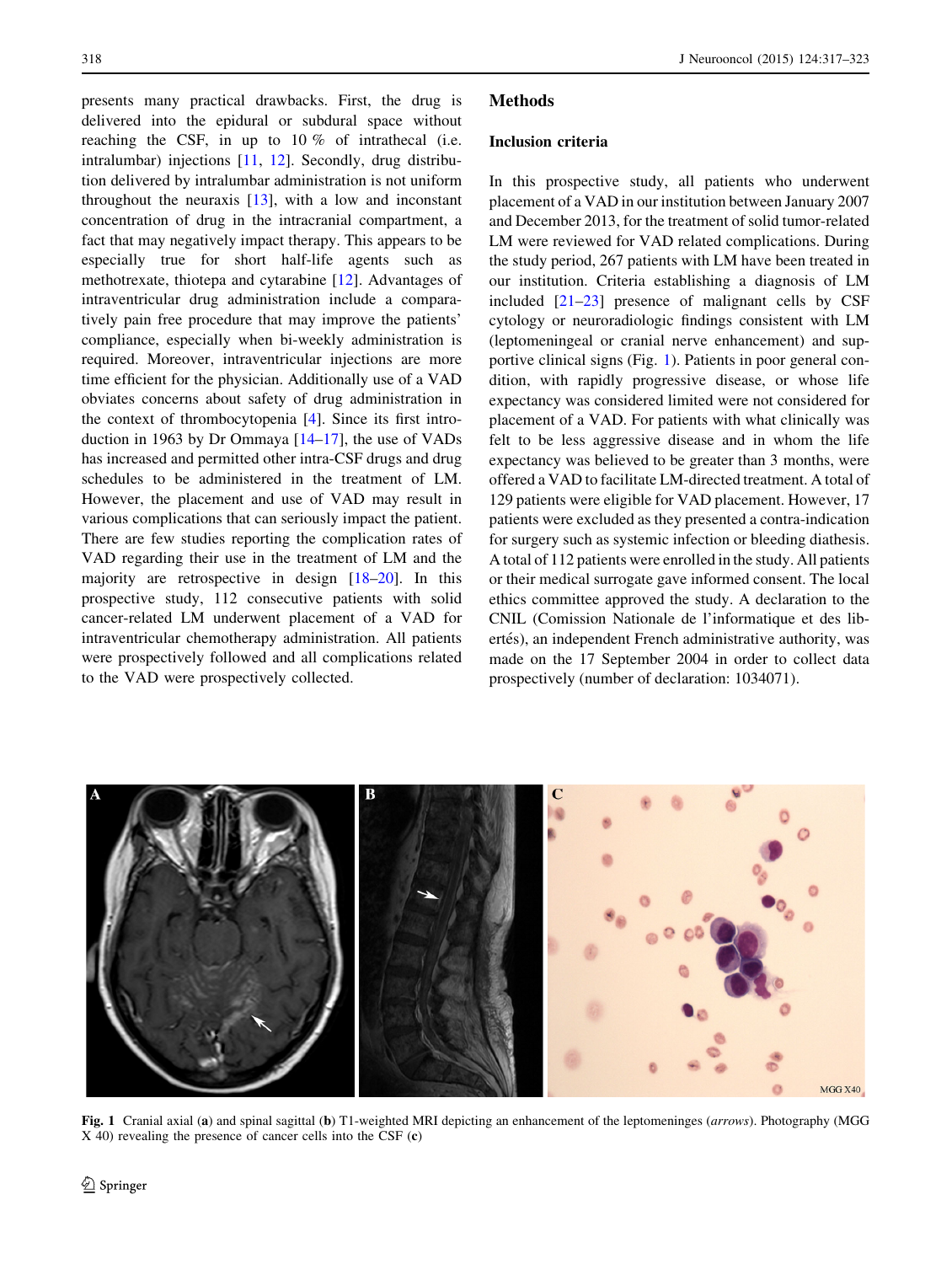presents many practical drawbacks. First, the drug is delivered into the epidural or subdural space without reaching the CSF, in up to 10 % of intrathecal (i.e. intralumbar) injections [[11,](#page-5-0) [12\]](#page-5-0). Secondly, drug distribution delivered by intralumbar administration is not uniform throughout the neuraxis [[13\]](#page-5-0), with a low and inconstant concentration of drug in the intracranial compartment, a fact that may negatively impact therapy. This appears to be especially true for short half-life agents such as methotrexate, thiotepa and cytarabine [\[12](#page-5-0)]. Advantages of intraventricular drug administration include a comparatively pain free procedure that may improve the patients' compliance, especially when bi-weekly administration is required. Moreover, intraventricular injections are more time efficient for the physician. Additionally use of a VAD obviates concerns about safety of drug administration in the context of thrombocytopenia [\[4](#page-5-0)]. Since its first introduction in 1963 by Dr Ommaya [\[14–17](#page-6-0)], the use of VADs has increased and permitted other intra-CSF drugs and drug schedules to be administered in the treatment of LM. However, the placement and use of VAD may result in various complications that can seriously impact the patient. There are few studies reporting the complication rates of VAD regarding their use in the treatment of LM and the majority are retrospective in design [\[18–20](#page-6-0)]. In this prospective study, 112 consecutive patients with solid cancer-related LM underwent placement of a VAD for intraventricular chemotherapy administration. All patients were prospectively followed and all complications related to the VAD were prospectively collected.

# Methods

## Inclusion criteria

In this prospective study, all patients who underwent placement of a VAD in our institution between January 2007 and December 2013, for the treatment of solid tumor-related LM were reviewed for VAD related complications. During the study period, 267 patients with LM have been treated in our institution. Criteria establishing a diagnosis of LM included  $[21-23]$  presence of malignant cells by CSF cytology or neuroradiologic findings consistent with LM (leptomeningeal or cranial nerve enhancement) and supportive clinical signs (Fig. 1). Patients in poor general condition, with rapidly progressive disease, or whose life expectancy was considered limited were not considered for placement of a VAD. For patients with what clinically was felt to be less aggressive disease and in whom the life expectancy was believed to be greater than 3 months, were offered a VAD to facilitate LM-directed treatment. A total of 129 patients were eligible for VAD placement. However, 17 patients were excluded as they presented a contra-indication for surgery such as systemic infection or bleeding diathesis. A total of 112 patients were enrolled in the study. All patients or their medical surrogate gave informed consent. The local ethics committee approved the study. A declaration to the CNIL (Comission Nationale de l'informatique et des libertés), an independent French administrative authority, was made on the 17 September 2004 in order to collect data prospectively (number of declaration: 1034071).



Fig. 1 Cranial axial (a) and spinal sagittal (b) T1-weighted MRI depicting an enhancement of the leptomeninges (arrows). Photography (MGG X 40) revealing the presence of cancer cells into the CSF (c)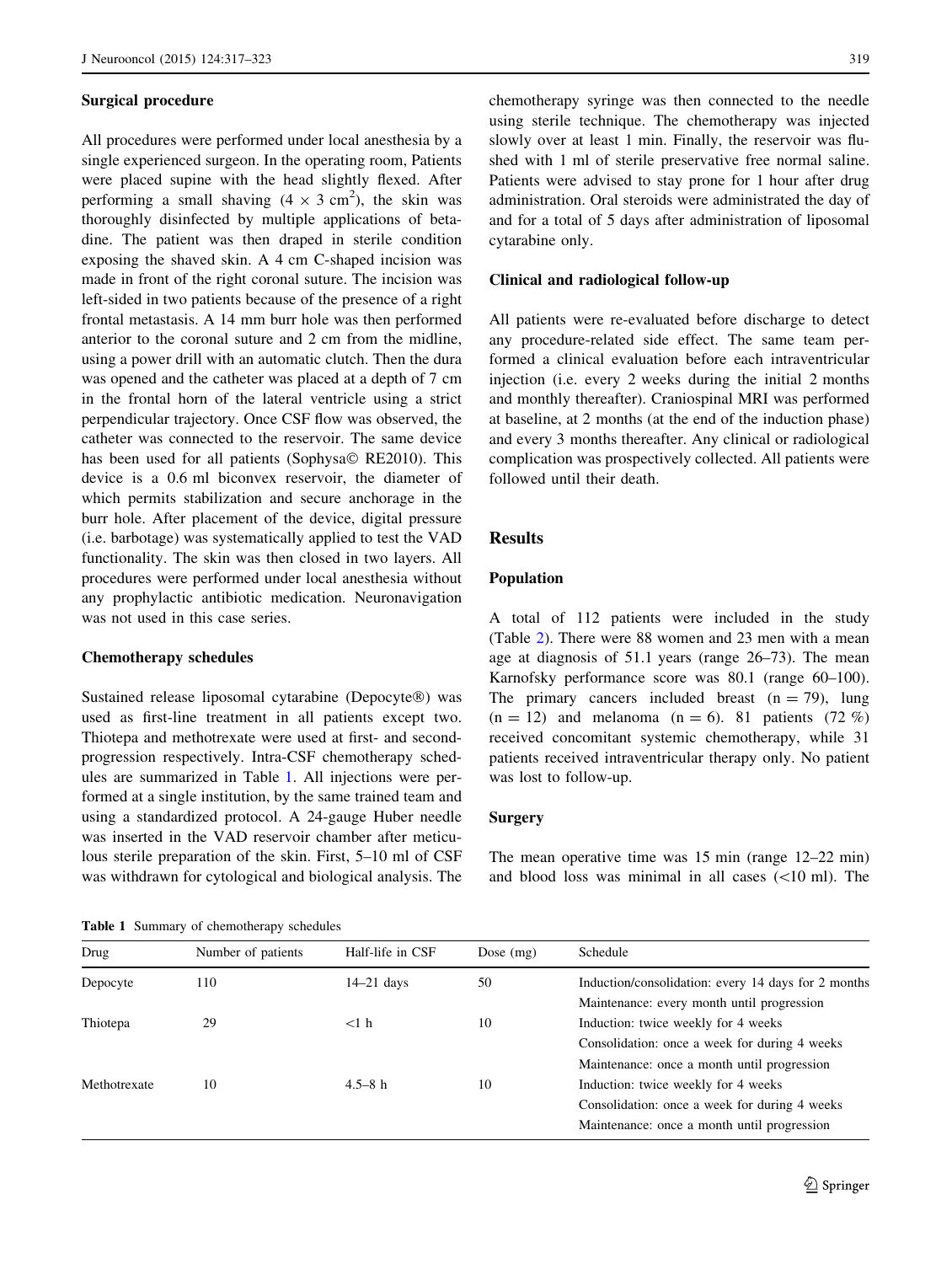### <span id="page-2-0"></span>Surgical procedure

All procedures were performed under local anesthesia by a single experienced surgeon. In the operating room, Patients were placed supine with the head slightly flexed. After performing a small shaving  $(4 \times 3 \text{ cm}^2)$ , the skin was thoroughly disinfected by multiple applications of betadine. The patient was then draped in sterile condition exposing the shaved skin. A 4 cm C-shaped incision was made in front of the right coronal suture. The incision was left-sided in two patients because of the presence of a right frontal metastasis. A 14 mm burr hole was then performed anterior to the coronal suture and 2 cm from the midline, using a power drill with an automatic clutch. Then the dura was opened and the catheter was placed at a depth of 7 cm in the frontal horn of the lateral ventricle using a strict perpendicular trajectory. Once CSF flow was observed, the catheter was connected to the reservoir. The same device has been used for all patients (Sophysa© RE2010). This device is a 0.6 ml biconvex reservoir, the diameter of which permits stabilization and secure anchorage in the burr hole. After placement of the device, digital pressure (i.e. barbotage) was systematically applied to test the VAD functionality. The skin was then closed in two layers. All procedures were performed under local anesthesia without any prophylactic antibiotic medication. Neuronavigation was not used in this case series.

## Chemotherapy schedules

Sustained release liposomal cytarabine (Depocyte®) was used as first-line treatment in all patients except two. Thiotepa and methotrexate were used at first- and secondprogression respectively. Intra-CSF chemotherapy schedules are summarized in Table 1. All injections were performed at a single institution, by the same trained team and using a standardized protocol. A 24-gauge Huber needle was inserted in the VAD reservoir chamber after meticulous sterile preparation of the skin. First, 5–10 ml of CSF was withdrawn for cytological and biological analysis. The

chemotherapy syringe was then connected to the needle using sterile technique. The chemotherapy was injected slowly over at least 1 min. Finally, the reservoir was flushed with 1 ml of sterile preservative free normal saline. Patients were advised to stay prone for 1 hour after drug administration. Oral steroids were administrated the day of and for a total of 5 days after administration of liposomal cytarabine only.

#### Clinical and radiological follow-up

All patients were re-evaluated before discharge to detect any procedure-related side effect. The same team performed a clinical evaluation before each intraventricular injection (i.e. every 2 weeks during the initial 2 months and monthly thereafter). Craniospinal MRI was performed at baseline, at 2 months (at the end of the induction phase) and every 3 months thereafter. Any clinical or radiological complication was prospectively collected. All patients were followed until their death.

## Results

#### Population

A total of 112 patients were included in the study (Table [2\)](#page-3-0). There were 88 women and 23 men with a mean age at diagnosis of 51.1 years (range 26–73). The mean Karnofsky performance score was 80.1 (range 60–100). The primary cancers included breast  $(n = 79)$ , lung  $(n = 12)$  and melanoma  $(n = 6)$ . 81 patients (72 %) received concomitant systemic chemotherapy, while 31 patients received intraventricular therapy only. No patient was lost to follow-up.

## **Surgery**

The mean operative time was 15 min (range 12–22 min) and blood loss was minimal in all cases  $(\leq 10 \text{ ml})$ . The

Table 1 Summary of chemotherapy schedules

| Drug         | Number of patients | Half-life in CSF | Dose $(mg)$ | Schedule                                            |  |
|--------------|--------------------|------------------|-------------|-----------------------------------------------------|--|
| Depocyte     | 110                | $14-21$ days     | 50          | Induction/consolidation: every 14 days for 2 months |  |
|              |                    |                  |             | Maintenance: every month until progression          |  |
| Thiotepa     | 29                 | $<1$ h           | 10          | Induction: twice weekly for 4 weeks                 |  |
|              |                    |                  |             | Consolidation: once a week for during 4 weeks       |  |
|              |                    |                  |             | Maintenance: once a month until progression         |  |
| Methotrexate | 10                 | $4.5 - 8h$       | 10          | Induction: twice weekly for 4 weeks                 |  |
|              |                    |                  |             | Consolidation: once a week for during 4 weeks       |  |
|              |                    |                  |             | Maintenance: once a month until progression         |  |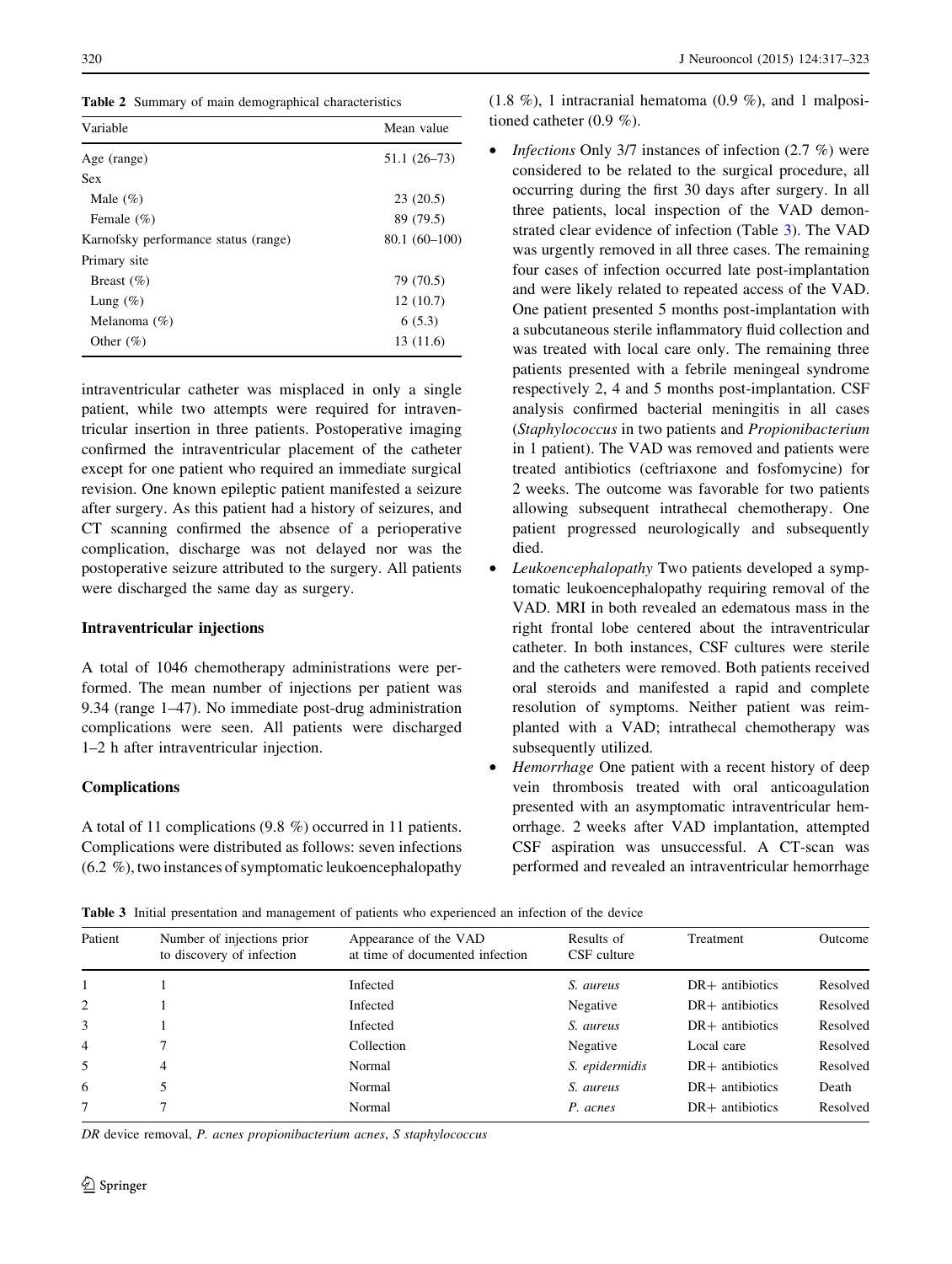<span id="page-3-0"></span>Table 2 Summary of main demographical characteristics

| Variable                             | Mean value     |  |
|--------------------------------------|----------------|--|
| Age (range)                          | $51.1(26-73)$  |  |
| <b>Sex</b>                           |                |  |
| Male $(\%)$                          | 23(20.5)       |  |
| Female $(\% )$                       | 89 (79.5)      |  |
| Karnofsky performance status (range) | $80.1(60-100)$ |  |
| Primary site                         |                |  |
| Breast $(\% )$                       | 79 (70.5)      |  |
| Lung $(\%)$                          | 12(10.7)       |  |
| Melanoma $(\%)$                      | 6(5.3)         |  |
| Other $(\% )$                        | 13 (11.6)      |  |
|                                      |                |  |

intraventricular catheter was misplaced in only a single patient, while two attempts were required for intraventricular insertion in three patients. Postoperative imaging confirmed the intraventricular placement of the catheter except for one patient who required an immediate surgical revision. One known epileptic patient manifested a seizure after surgery. As this patient had a history of seizures, and CT scanning confirmed the absence of a perioperative complication, discharge was not delayed nor was the postoperative seizure attributed to the surgery. All patients were discharged the same day as surgery.

## Intraventricular injections

A total of 1046 chemotherapy administrations were performed. The mean number of injections per patient was 9.34 (range 1–47). No immediate post-drug administration complications were seen. All patients were discharged 1–2 h after intraventricular injection.

## Complications

A total of 11 complications (9.8 %) occurred in 11 patients. Complications were distributed as follows: seven infections (6.2 %), two instances of symptomatic leukoencephalopathy  $(1.8\%)$ , 1 intracranial hematoma  $(0.9\%)$ , and 1 malpositioned catheter (0.9 %).

- *Infections* Only 3/7 instances of infection  $(2.7 \%)$  were considered to be related to the surgical procedure, all occurring during the first 30 days after surgery. In all three patients, local inspection of the VAD demonstrated clear evidence of infection (Table 3). The VAD was urgently removed in all three cases. The remaining four cases of infection occurred late post-implantation and were likely related to repeated access of the VAD. One patient presented 5 months post-implantation with a subcutaneous sterile inflammatory fluid collection and was treated with local care only. The remaining three patients presented with a febrile meningeal syndrome respectively 2, 4 and 5 months post-implantation. CSF analysis confirmed bacterial meningitis in all cases (Staphylococcus in two patients and Propionibacterium in 1 patient). The VAD was removed and patients were treated antibiotics (ceftriaxone and fosfomycine) for 2 weeks. The outcome was favorable for two patients allowing subsequent intrathecal chemotherapy. One patient progressed neurologically and subsequently died.
- Leukoencephalopathy Two patients developed a symptomatic leukoencephalopathy requiring removal of the VAD. MRI in both revealed an edematous mass in the right frontal lobe centered about the intraventricular catheter. In both instances, CSF cultures were sterile and the catheters were removed. Both patients received oral steroids and manifested a rapid and complete resolution of symptoms. Neither patient was reimplanted with a VAD; intrathecal chemotherapy was subsequently utilized.
- Hemorrhage One patient with a recent history of deep vein thrombosis treated with oral anticoagulation presented with an asymptomatic intraventricular hemorrhage. 2 weeks after VAD implantation, attempted CSF aspiration was unsuccessful. A CT-scan was performed and revealed an intraventricular hemorrhage

Table 3 Initial presentation and management of patients who experienced an infection of the device

| Patient        | Number of injections prior<br>to discovery of infection | Appearance of the VAD<br>at time of documented infection | Results of<br>CSF culture | Treatment         | Outcome  |  |  |  |
|----------------|---------------------------------------------------------|----------------------------------------------------------|---------------------------|-------------------|----------|--|--|--|
|                |                                                         | Infected                                                 | S. aureus                 | $DR+$ antibiotics | Resolved |  |  |  |
| 2              |                                                         | Infected                                                 | Negative                  | $DR+$ antibiotics | Resolved |  |  |  |
| 3              |                                                         | Infected                                                 | S. aureus                 | $DR+$ antibiotics | Resolved |  |  |  |
| $\overline{4}$ |                                                         | Collection                                               | Negative                  | Local care        | Resolved |  |  |  |
| 5              | 4                                                       | Normal                                                   | S. epidermidis            | $DR+$ antibiotics | Resolved |  |  |  |
| 6              |                                                         | Normal                                                   | S. aureus                 | $DR+$ antibiotics | Death    |  |  |  |
|                |                                                         | Normal                                                   | P. acnes                  | $DR+$ antibiotics | Resolved |  |  |  |
|                |                                                         |                                                          |                           |                   |          |  |  |  |

DR device removal, P. acnes propionibacterium acnes, S staphylococcus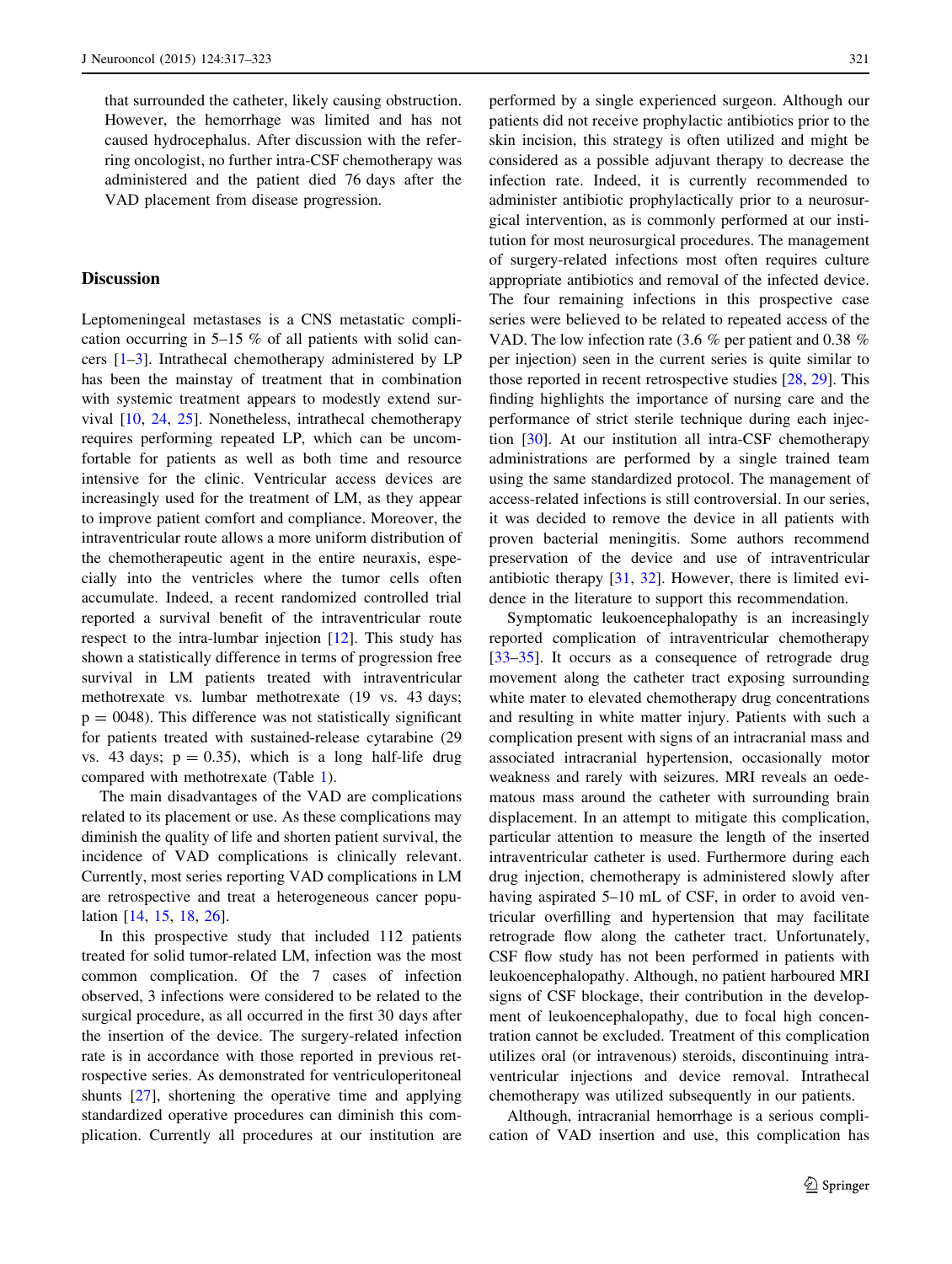that surrounded the catheter, likely causing obstruction. However, the hemorrhage was limited and has not caused hydrocephalus. After discussion with the referring oncologist, no further intra-CSF chemotherapy was administered and the patient died 76 days after the VAD placement from disease progression.

# **Discussion**

Leptomeningeal metastases is a CNS metastatic complication occurring in 5–15 % of all patients with solid cancers  $[1-3]$ . Intrathecal chemotherapy administered by LP has been the mainstay of treatment that in combination with systemic treatment appears to modestly extend survival [\[10](#page-5-0), [24,](#page-6-0) [25](#page-6-0)]. Nonetheless, intrathecal chemotherapy requires performing repeated LP, which can be uncomfortable for patients as well as both time and resource intensive for the clinic. Ventricular access devices are increasingly used for the treatment of LM, as they appear to improve patient comfort and compliance. Moreover, the intraventricular route allows a more uniform distribution of the chemotherapeutic agent in the entire neuraxis, especially into the ventricles where the tumor cells often accumulate. Indeed, a recent randomized controlled trial reported a survival benefit of the intraventricular route respect to the intra-lumbar injection [\[12](#page-5-0)]. This study has shown a statistically difference in terms of progression free survival in LM patients treated with intraventricular methotrexate vs. lumbar methotrexate (19 vs. 43 days;  $p = 0048$ ). This difference was not statistically significant for patients treated with sustained-release cytarabine (29 vs. 43 days;  $p = 0.35$ ), which is a long half-life drug compared with methotrexate (Table [1](#page-2-0)).

The main disadvantages of the VAD are complications related to its placement or use. As these complications may diminish the quality of life and shorten patient survival, the incidence of VAD complications is clinically relevant. Currently, most series reporting VAD complications in LM are retrospective and treat a heterogeneous cancer population [[14,](#page-6-0) [15](#page-6-0), [18](#page-6-0), [26\]](#page-6-0).

In this prospective study that included 112 patients treated for solid tumor-related LM, infection was the most common complication. Of the 7 cases of infection observed, 3 infections were considered to be related to the surgical procedure, as all occurred in the first 30 days after the insertion of the device. The surgery-related infection rate is in accordance with those reported in previous retrospective series. As demonstrated for ventriculoperitoneal shunts [[27\]](#page-6-0), shortening the operative time and applying standardized operative procedures can diminish this complication. Currently all procedures at our institution are performed by a single experienced surgeon. Although our patients did not receive prophylactic antibiotics prior to the skin incision, this strategy is often utilized and might be considered as a possible adjuvant therapy to decrease the infection rate. Indeed, it is currently recommended to administer antibiotic prophylactically prior to a neurosurgical intervention, as is commonly performed at our institution for most neurosurgical procedures. The management of surgery-related infections most often requires culture appropriate antibiotics and removal of the infected device. The four remaining infections in this prospective case series were believed to be related to repeated access of the VAD. The low infection rate (3.6 % per patient and 0.38 % per injection) seen in the current series is quite similar to those reported in recent retrospective studies [[28,](#page-6-0) [29\]](#page-6-0). This finding highlights the importance of nursing care and the performance of strict sterile technique during each injection [[30\]](#page-6-0). At our institution all intra-CSF chemotherapy administrations are performed by a single trained team using the same standardized protocol. The management of access-related infections is still controversial. In our series, it was decided to remove the device in all patients with proven bacterial meningitis. Some authors recommend preservation of the device and use of intraventricular antibiotic therapy [[31,](#page-6-0) [32\]](#page-6-0). However, there is limited evidence in the literature to support this recommendation.

Symptomatic leukoencephalopathy is an increasingly reported complication of intraventricular chemotherapy [\[33–35](#page-6-0)]. It occurs as a consequence of retrograde drug movement along the catheter tract exposing surrounding white mater to elevated chemotherapy drug concentrations and resulting in white matter injury. Patients with such a complication present with signs of an intracranial mass and associated intracranial hypertension, occasionally motor weakness and rarely with seizures. MRI reveals an oedematous mass around the catheter with surrounding brain displacement. In an attempt to mitigate this complication, particular attention to measure the length of the inserted intraventricular catheter is used. Furthermore during each drug injection, chemotherapy is administered slowly after having aspirated 5–10 mL of CSF, in order to avoid ventricular overfilling and hypertension that may facilitate retrograde flow along the catheter tract. Unfortunately, CSF flow study has not been performed in patients with leukoencephalopathy. Although, no patient harboured MRI signs of CSF blockage, their contribution in the development of leukoencephalopathy, due to focal high concentration cannot be excluded. Treatment of this complication utilizes oral (or intravenous) steroids, discontinuing intraventricular injections and device removal. Intrathecal chemotherapy was utilized subsequently in our patients.

Although, intracranial hemorrhage is a serious complication of VAD insertion and use, this complication has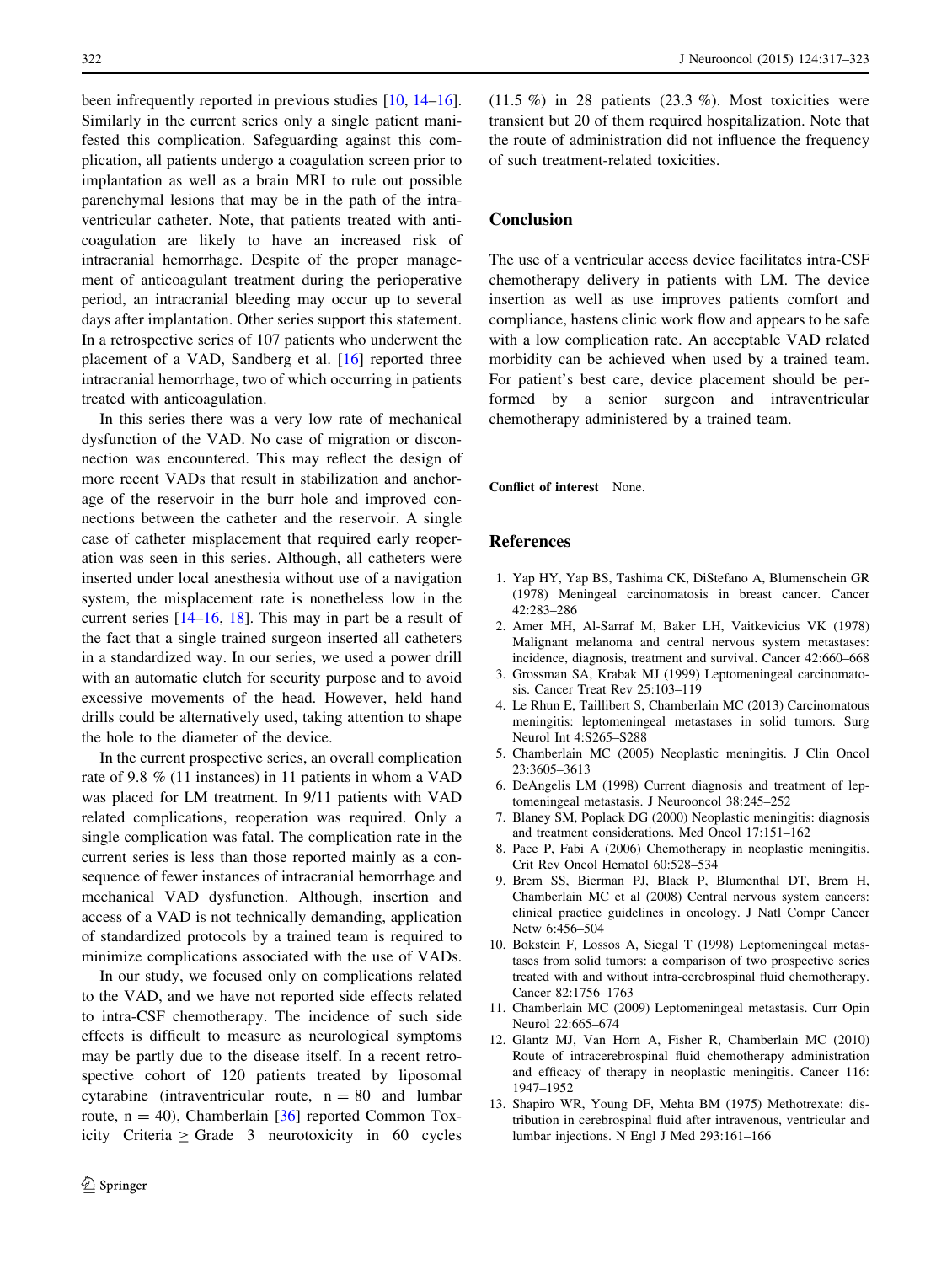<span id="page-5-0"></span>been infrequently reported in previous studies [10, [14–16](#page-6-0)]. Similarly in the current series only a single patient manifested this complication. Safeguarding against this complication, all patients undergo a coagulation screen prior to implantation as well as a brain MRI to rule out possible parenchymal lesions that may be in the path of the intraventricular catheter. Note, that patients treated with anticoagulation are likely to have an increased risk of intracranial hemorrhage. Despite of the proper management of anticoagulant treatment during the perioperative period, an intracranial bleeding may occur up to several days after implantation. Other series support this statement. In a retrospective series of 107 patients who underwent the placement of a VAD, Sandberg et al. [[16\]](#page-6-0) reported three intracranial hemorrhage, two of which occurring in patients treated with anticoagulation.

In this series there was a very low rate of mechanical dysfunction of the VAD. No case of migration or disconnection was encountered. This may reflect the design of more recent VADs that result in stabilization and anchorage of the reservoir in the burr hole and improved connections between the catheter and the reservoir. A single case of catheter misplacement that required early reoperation was seen in this series. Although, all catheters were inserted under local anesthesia without use of a navigation system, the misplacement rate is nonetheless low in the current series [\[14–16](#page-6-0), [18](#page-6-0)]. This may in part be a result of the fact that a single trained surgeon inserted all catheters in a standardized way. In our series, we used a power drill with an automatic clutch for security purpose and to avoid excessive movements of the head. However, held hand drills could be alternatively used, taking attention to shape the hole to the diameter of the device.

In the current prospective series, an overall complication rate of 9.8 % (11 instances) in 11 patients in whom a VAD was placed for LM treatment. In 9/11 patients with VAD related complications, reoperation was required. Only a single complication was fatal. The complication rate in the current series is less than those reported mainly as a consequence of fewer instances of intracranial hemorrhage and mechanical VAD dysfunction. Although, insertion and access of a VAD is not technically demanding, application of standardized protocols by a trained team is required to minimize complications associated with the use of VADs.

In our study, we focused only on complications related to the VAD, and we have not reported side effects related to intra-CSF chemotherapy. The incidence of such side effects is difficult to measure as neurological symptoms may be partly due to the disease itself. In a recent retrospective cohort of 120 patients treated by liposomal cytarabine (intraventricular route,  $n = 80$  and lumbar route,  $n = 40$ ), Chamberlain [\[36](#page-6-0)] reported Common Toxicity Criteria  $\geq$  Grade 3 neurotoxicity in 60 cycles  $(11.5\%)$  in 28 patients  $(23.3\%)$ . Most toxicities were transient but 20 of them required hospitalization. Note that the route of administration did not influence the frequency of such treatment-related toxicities.

# Conclusion

The use of a ventricular access device facilitates intra-CSF chemotherapy delivery in patients with LM. The device insertion as well as use improves patients comfort and compliance, hastens clinic work flow and appears to be safe with a low complication rate. An acceptable VAD related morbidity can be achieved when used by a trained team. For patient's best care, device placement should be performed by a senior surgeon and intraventricular chemotherapy administered by a trained team.

Conflict of interest None.

## References

- 1. Yap HY, Yap BS, Tashima CK, DiStefano A, Blumenschein GR (1978) Meningeal carcinomatosis in breast cancer. Cancer 42:283–286
- 2. Amer MH, Al-Sarraf M, Baker LH, Vaitkevicius VK (1978) Malignant melanoma and central nervous system metastases: incidence, diagnosis, treatment and survival. Cancer 42:660–668
- 3. Grossman SA, Krabak MJ (1999) Leptomeningeal carcinomatosis. Cancer Treat Rev 25:103–119
- 4. Le Rhun E, Taillibert S, Chamberlain MC (2013) Carcinomatous meningitis: leptomeningeal metastases in solid tumors. Surg Neurol Int 4:S265–S288
- 5. Chamberlain MC (2005) Neoplastic meningitis. J Clin Oncol 23:3605–3613
- 6. DeAngelis LM (1998) Current diagnosis and treatment of leptomeningeal metastasis. J Neurooncol 38:245–252
- 7. Blaney SM, Poplack DG (2000) Neoplastic meningitis: diagnosis and treatment considerations. Med Oncol 17:151–162
- 8. Pace P, Fabi A (2006) Chemotherapy in neoplastic meningitis. Crit Rev Oncol Hematol 60:528–534
- 9. Brem SS, Bierman PJ, Black P, Blumenthal DT, Brem H, Chamberlain MC et al (2008) Central nervous system cancers: clinical practice guidelines in oncology. J Natl Compr Cancer Netw 6:456–504
- 10. Bokstein F, Lossos A, Siegal T (1998) Leptomeningeal metastases from solid tumors: a comparison of two prospective series treated with and without intra-cerebrospinal fluid chemotherapy. Cancer 82:1756–1763
- 11. Chamberlain MC (2009) Leptomeningeal metastasis. Curr Opin Neurol 22:665–674
- 12. Glantz MJ, Van Horn A, Fisher R, Chamberlain MC (2010) Route of intracerebrospinal fluid chemotherapy administration and efficacy of therapy in neoplastic meningitis. Cancer 116: 1947–1952
- 13. Shapiro WR, Young DF, Mehta BM (1975) Methotrexate: distribution in cerebrospinal fluid after intravenous, ventricular and lumbar injections. N Engl J Med 293:161–166